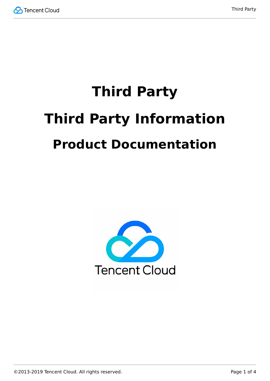

# **Third Party Third Party Information Product Documentation**

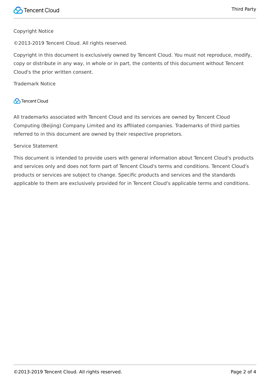## Copyright Notice

©2013-2019 Tencent Cloud. All rights reserved.

Copyright in this document is exclusively owned by Tencent Cloud. You must not reproduce, modify, copy or distribute in any way, in whole or in part, the contents of this document without Tencent Cloud's the prior written consent.

Trademark Notice

# **C** Tencent Cloud

All trademarks associated with Tencent Cloud and its services are owned by Tencent Cloud Computing (Beijing) Company Limited and its affiliated companies. Trademarks of third parties referred to in this document are owned by their respective proprietors.

#### Service Statement

This document is intended to provide users with general information about Tencent Cloud's products and services only and does not form part of Tencent Cloud's terms and conditions. Tencent Cloud's products or services are subject to change. Specific products and services and the standards applicable to them are exclusively provided for in Tencent Cloud's applicable terms and conditions.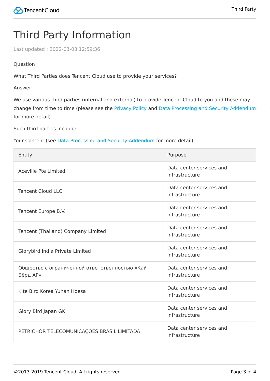# Third Party Information

Last updated:2022-03-03 12:59:36

## Question

What Third Parties does Tencent Cloud use to provide your services?

Answer

We use various third parties (internal and external) to provide Tencent Cloud to you and these may change from time to time (please see the [Privacy Policy](https://intl.cloud.tencent.com/document/product/301/17345) and [Data Processing and Security Addendum](https://intl.cloud.tencent.com/document/product/301/17347) for more detail).

Such third parties include:

Your Content (see [Data Processing and Security Addendum](https://intl.cloud.tencent.com/document/product/301/17347) for more detail).

| Entity                                                     | Purpose                                    |
|------------------------------------------------------------|--------------------------------------------|
| <b>Aceville Pte Limited</b>                                | Data center services and<br>infrastructure |
| <b>Tencent Cloud LLC</b>                                   | Data center services and<br>infrastructure |
| Tencent Europe B.V.                                        | Data center services and<br>infrastructure |
| Tencent (Thailand) Company Limited                         | Data center services and<br>infrastructure |
| Glorybird India Private Limited                            | Data center services and<br>infrastructure |
| Общество с ограниченной ответственностью «Кайт<br>Бёрд АР» | Data center services and<br>infrastructure |
| Kite Bird Korea Yuhan Hoesa                                | Data center services and<br>infrastructure |
| Glory Bird Japan GK                                        | Data center services and<br>infrastructure |
| PETRICHOR TELECOMUNICAÇÕES BRASIL LIMITADA                 | Data center services and<br>infrastructure |